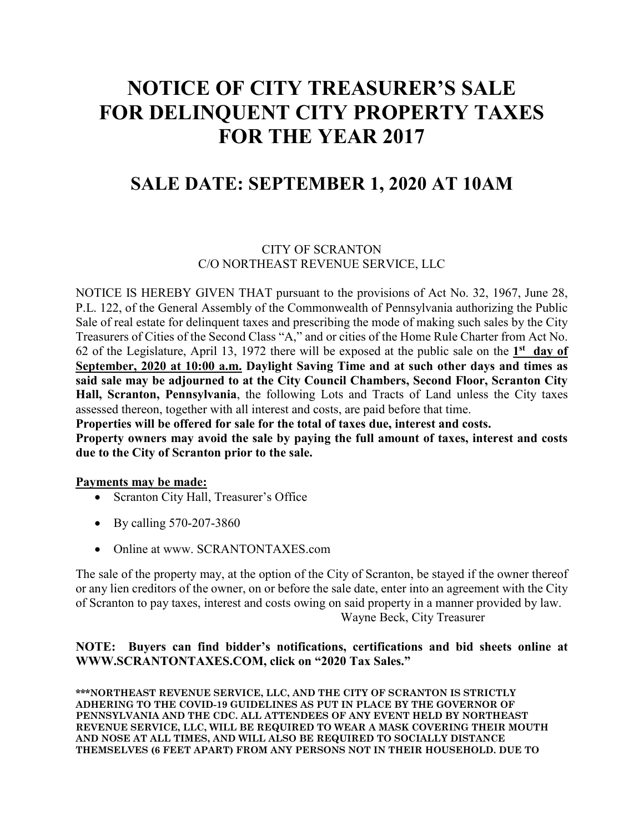# **NOTICE OF CITY TREASURER'S SALE FOR DELINQUENT CITY PROPERTY TAXES FOR THE YEAR 2017**

# **SALE DATE: SEPTEMBER 1, 2020 AT 10AM**

## CITY OF SCRANTON C/O NORTHEAST REVENUE SERVICE, LLC

NOTICE IS HEREBY GIVEN THAT pursuant to the provisions of Act No. 32, 1967, June 28, P.L. 122, of the General Assembly of the Commonwealth of Pennsylvania authorizing the Public Sale of real estate for delinquent taxes and prescribing the mode of making such sales by the City Treasurers of Cities of the Second Class "A," and or cities of the Home Rule Charter from Act No. 62 of the Legislature, April 13, 1972 there will be exposed at the public sale on the **1st day of September, 2020 at 10:00 a.m. Daylight Saving Time and at such other days and times as said sale may be adjourned to at the City Council Chambers, Second Floor, Scranton City Hall, Scranton, Pennsylvania**, the following Lots and Tracts of Land unless the City taxes assessed thereon, together with all interest and costs, are paid before that time.

**Properties will be offered for sale for the total of taxes due, interest and costs.** 

**Property owners may avoid the sale by paying the full amount of taxes, interest and costs due to the City of Scranton prior to the sale.** 

### **Payments may be made:**

- Scranton City Hall, Treasurer's Office
- By calling 570-207-3860
- Online at www. SCRANTONTAXES.com

The sale of the property may, at the option of the City of Scranton, be stayed if the owner thereof or any lien creditors of the owner, on or before the sale date, enter into an agreement with the City of Scranton to pay taxes, interest and costs owing on said property in a manner provided by law. Wayne Beck, City Treasurer

### **NOTE: Buyers can find bidder's notifications, certifications and bid sheets online at WWW.SCRANTONTAXES.COM, click on "2020 Tax Sales."**

**\*\*\*NORTHEAST REVENUE SERVICE, LLC, AND THE CITY OF SCRANTON IS STRICTLY ADHERING TO THE COVID-19 GUIDELINES AS PUT IN PLACE BY THE GOVERNOR OF PENNSYLVANIA AND THE CDC. ALL ATTENDEES OF ANY EVENT HELD BY NORTHEAST REVENUE SERVICE, LLC, WILL BE REQUIRED TO WEAR A MASK COVERING THEIR MOUTH AND NOSE AT ALL TIMES, AND WILL ALSO BE REQUIRED TO SOCIALLY DISTANCE THEMSELVES (6 FEET APART) FROM ANY PERSONS NOT IN THEIR HOUSEHOLD. DUE TO**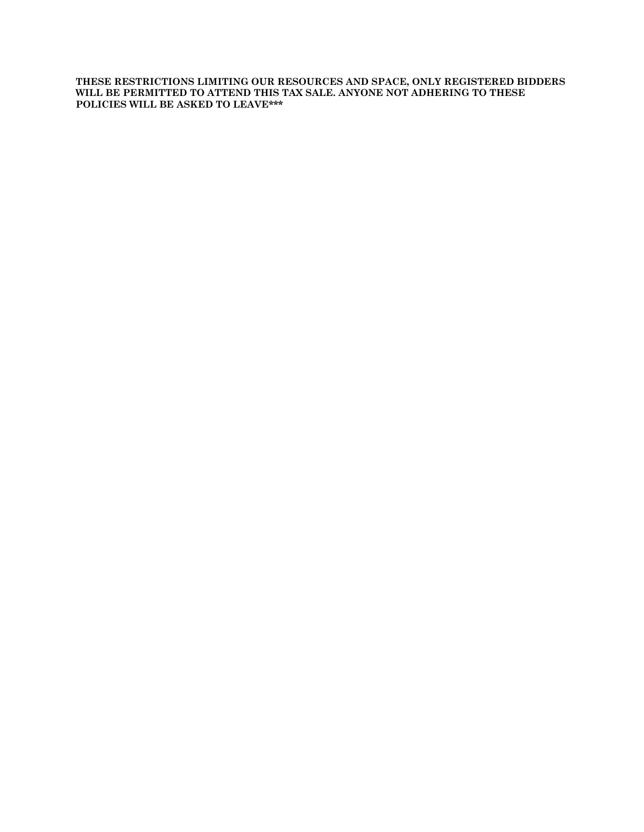**THESE RESTRICTIONS LIMITING OUR RESOURCES AND SPACE, ONLY REGISTERED BIDDERS WILL BE PERMITTED TO ATTEND THIS TAX SALE. ANYONE NOT ADHERING TO THESE POLICIES WILL BE ASKED TO LEAVE\*\*\***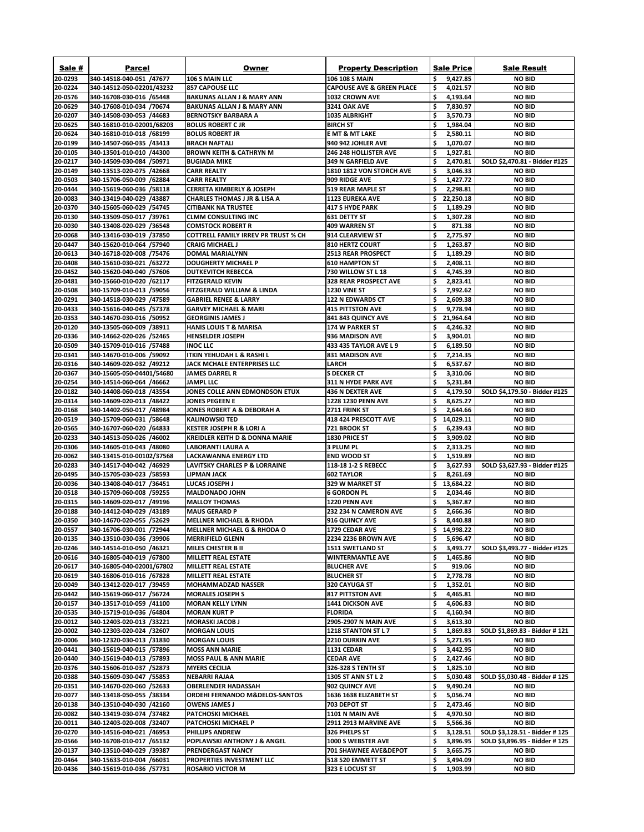| Sale #             | <b>Parcel</b>                                         | Owner                                                                 | <b>Property Description</b>                                  | <b>Sale Price</b>                | <b>Sale Result</b>                                      |
|--------------------|-------------------------------------------------------|-----------------------------------------------------------------------|--------------------------------------------------------------|----------------------------------|---------------------------------------------------------|
| 20-0293            | 340-14518-040-051 /47677                              | 106 S MAIN LLC                                                        | <b>106 108 S MAIN</b>                                        | \$<br>9,427.85                   | <b>NO BID</b>                                           |
| 20-0224            | 340-14512-050-02201/43232                             | <b>857 CAPOUSE LLC</b>                                                | <b>CAPOUSE AVE &amp; GREEN PLACE</b>                         | \$<br>4,021.57                   | <b>NO BID</b>                                           |
| 20-0576            | 340-16708-030-016 /65448                              | <b>BAKUNAS ALLAN J &amp; MARY ANN</b>                                 | <b>1032 CROWN AVE</b>                                        | \$<br>4,193.64                   | <b>NO BID</b>                                           |
| 20-0629            | 340-17608-010-034 /70674                              | <b>BAKUNAS ALLAN J &amp; MARY ANN</b>                                 | <b>3241 OAK AVE</b>                                          | \$<br>7,830.97                   | <b>NO BID</b>                                           |
| 20-0207            | 340-14508-030-053 /44683                              | <b>BERNOTSKY BARBARA A</b>                                            | <b>1035 ALBRIGHT</b>                                         | \$<br>3,570.73                   | <b>NO BID</b>                                           |
| 20-0625            | 340-16810-010-02001/68203                             | <b>BOLUS ROBERT C JR</b>                                              | <b>BIRCH ST</b>                                              | \$<br>1,984.04                   | <b>NO BID</b>                                           |
| 20-0624            | 340-16810-010-018 /68199                              | <b>BOLUS ROBERT JR</b>                                                | <b>E MT &amp; MT LAKE</b>                                    | \$<br>2,580.11                   | <b>NO BID</b>                                           |
| 20-0199            | 340-14507-060-035 /43413                              | <b>BRACH NAFTALI</b>                                                  | 940 942 JOHLER AVE                                           | \$<br>1,070.07                   | <b>NO BID</b>                                           |
| 20-0105            | 340-13501-010-010 /44300                              | <b>BROWN KEITH &amp; CATHRYN M</b>                                    | 246 248 HOLLISTER AVE                                        | \$<br>1,927.81                   | <b>NO BID</b>                                           |
| 20-0217<br>20-0149 | 340-14509-030-084 /50971<br>340-13513-020-075 /42668  | <b>BUGIADA MIKE</b><br><b>CARR REALTY</b>                             | <b>349 N GARFIELD AVE</b><br><b>1810 1812 VON STORCH AVE</b> | \$<br>2,470.81<br>S<br>3,046.33  | SOLD \$2,470.81 - Bidder #125<br><b>NO BID</b>          |
| 20-0503            | 340-15706-050-009 /62884                              | <b>CARR REALTY</b>                                                    | 909 RIDGE AVE                                                | \$<br>1,427.72                   | <b>NO BID</b>                                           |
| 20-0444            | 340-15619-060-036 /58118                              | <b>CERRETA KIMBERLY &amp; JOSEPH</b>                                  | <b>519 REAR MAPLE ST</b>                                     | \$<br>2,298.81                   | <b>NO BID</b>                                           |
| 20-0083            | 340-13419-040-029 /43887                              | <b>CHARLES THOMAS J JR &amp; LISA A</b>                               | <b>1123 EUREKA AVE</b>                                       | \$<br>22,250.18                  | <b>NO BID</b>                                           |
| 20-0370            | 340-15605-060-029 /54745                              | <b>CITIBANK NA TRUSTEE</b>                                            | 417 S HYDE PARK                                              | \$<br>1,189.29                   | <b>NO BID</b>                                           |
| 20-0130            | 340-13509-050-017 /39761                              | <b>CLMM CONSULTING INC</b>                                            | <b>631 DETTY ST</b>                                          | \$<br>1,307.28                   | <b>NO BID</b>                                           |
| 20-0030            | 340-13408-020-029 /36548                              | <b>COMSTOCK ROBERT R</b>                                              | <b>409 WARREN ST</b>                                         | \$<br>871.38                     | <b>NO BID</b>                                           |
| 20-0068            | 340-13416-030-019 /37850                              | <b>COTTRELL FAMILY IRREV PR TRUST % CH</b>                            | 914 CLEARVIEW ST                                             | \$<br>2,775.97                   | <b>NO BID</b>                                           |
| 20-0447            | 340-15620-010-064 /57940                              | <b>CRAIG MICHAEL J</b>                                                | <b>810 HERTZ COURT</b>                                       | \$<br>1,263.87                   | <b>NO BID</b>                                           |
| 20-0613            | 340-16718-020-008 /75476                              | <b>DOMAL MARIALYNN</b>                                                | <b>2513 REAR PROSPECT</b>                                    | \$<br>1,189.29                   | <b>NO BID</b>                                           |
| 20-0408            | 340-15610-030-021 /63272                              | <b>DOUGHERTY MICHAEL P</b>                                            | <b>610 HAMPTON ST</b>                                        | \$<br>2,408.11                   | <b>NO BID</b>                                           |
| 20-0452            | 340-15620-040-040 /57606                              | <b>DUTKEVITCH REBECCA</b>                                             | 730 WILLOW ST L 18                                           | \$<br>4,745.39                   | <b>NO BID</b>                                           |
| 20-0481            | 340-15660-010-020 /62117                              | <b>FITZGERALD KEVIN</b>                                               | <b>328 REAR PROSPECT AVE</b>                                 | \$<br>2,823.41                   | <b>NO BID</b>                                           |
| 20-0508            | 340-15709-010-013 /59056                              | <b>FITZGERALD WILLIAM &amp; LINDA</b>                                 | <b>1230 VINE ST</b>                                          | \$,<br>7,992.62                  | <b>NO BID</b><br><b>NO BID</b>                          |
| 20-0291<br>20-0433 | 340-14518-030-029 /47589<br>340-15616-040-045 /57378  | <b>GABRIEL RENEE &amp; LARRY</b><br><b>GARVEY MICHAEL &amp; MARI</b>  | <b>122 N EDWARDS CT</b><br><b>415 PITTSTON AVE</b>           | \$<br>2,609.38<br>9,778.94       | <b>NO BID</b>                                           |
| 20-0353            | 340-14670-030-016 /50952                              | <b>GEORGINIS JAMES J</b>                                              | <b>841 843 QUINCY AVE</b>                                    | 21,964.64<br>S                   | <b>NO BID</b>                                           |
| 20-0120            | 340-13505-060-009 /38911                              | <b>HANIS LOUIS T &amp; MARISA</b>                                     | <b>174 W PARKER ST</b>                                       | \$<br>4,246.32                   | <b>NO BID</b>                                           |
| 20-0336            | 340-14662-020-026 /52465                              | <b>HENSELDER JOSEPH</b>                                               | 936 MADISON AVE                                              | 3,904.01                         | <b>NO BID</b>                                           |
| 20-0509            | 340-15709-010-016 /57488                              | <b>INOC LLC</b>                                                       | 433 435 TAYLOR AVE L 9                                       | 6,189.50                         | <b>NO BID</b>                                           |
| 20-0341            | 340-14670-010-006 /59092                              | <b>ITKIN YEHUDAH L &amp; RASHI L</b>                                  | <b>831 MADISON AVE</b>                                       | 7,214.35                         | <b>NO BID</b>                                           |
| 20-0316            | 340-14609-020-032 /49212                              | <b>JACK MCHALE ENTERPRISES LLC</b>                                    | <b>LARCH</b>                                                 | \$<br>6,537.67                   | <b>NO BID</b>                                           |
| 20-0367            | 340-15605-050-04401/54680                             | <b>JAMES DARREL R</b>                                                 | <b>S DECKER CT</b>                                           | \$<br>3,310.06                   | <b>NO BID</b>                                           |
| 20-0254            | 340-14514-060-064 /46662                              | <b>JAMPL LLC</b>                                                      | 311 N HYDE PARK AVE                                          | \$<br>5,231.84                   | <b>NO BID</b>                                           |
| 20-0182            | 340-14408-060-018 /43554                              | JONES COLLE ANN EDMONDSON ETUX                                        | 436 N DEXTER AVE                                             | \$<br>4,179.50                   | SOLD \$4,179.50 - Bidder #125                           |
| 20-0314            | 340-14609-020-013 /48422                              | <b>JONES PEGEEN E</b>                                                 | <b>1228 1230 PENN AVE</b>                                    | \$<br>8,625.27                   | <b>NO BID</b>                                           |
| 20-0168            | 340-14402-050-017 /48984                              | <b>JONES ROBERT A &amp; DEBORAH A</b>                                 | 2711 FRINK ST                                                | 2,644.66                         | <b>NO BID</b>                                           |
| 20-0519            | 340-15709-060-031 /58648                              | <b>KALINOWSKI TED</b>                                                 | 418 424 PRESCOTT AVE                                         | 14,029.11                        | <b>NO BID</b>                                           |
| 20-0565            | 340-16707-060-020 /64833                              | <b>KESTER JOSEPH R &amp; LORI A</b>                                   | 721 BROOK ST                                                 | \$<br>6,239.43                   | <b>NO BID</b>                                           |
| 20-0233<br>20-0306 | 340-14513-050-026 /46002<br>340-14605-010-043 /48080  | <b>KREIDLER KEITH D &amp; DONNA MARIE</b><br><b>LABORANTI LAURA A</b> | 1830 PRICE ST<br>3 PLUM PL                                   | \$<br>3,909.02<br>\$<br>2,313.25 | <b>NO BID</b><br><b>NO BID</b>                          |
| 20-0062            | 340-13415-010-00102/37568                             | LACKAWANNA ENERGY LTD                                                 | <b>END WOOD ST</b>                                           | \$<br>1,519.89                   | <b>NO BID</b>                                           |
| 20-0283            | 340-14517-040-042 /46929                              | LAVITSKY CHARLES P & LORRAINE                                         | 118-18 1-2 S REBECC                                          | \$<br>3,627.93                   | SOLD \$3,627.93 - Bidder #125                           |
| 20-0495            | 340-15705-030-023 /58593                              | LIPMAN JACK                                                           | <b>602 TAYLOR</b>                                            | \$<br>8,261.69                   | <b>NO BID</b>                                           |
| 20-0036            | 340-13408-040-017 /36451                              | LUCAS JOSEPH J                                                        | 329 W MARKET ST                                              | 13,684.22                        | <b>NO BID</b>                                           |
| 20-0518            | 340-15709-060-008 /59255                              | <b>MALDONADO JOHN</b>                                                 | 6 GORDON PL                                                  | \$<br>2,034.46                   | <b>NO BID</b>                                           |
| 20-0315            | 340-14609-020-017 /49196                              | <b>MALLOY THOMAS</b>                                                  | <b>1220 PENN AVE</b>                                         | 5,367.87                         | <b>NO BID</b>                                           |
| 20-0188            | 340-14412-040-029 /43189                              | <b>MAUS GERARD P</b>                                                  | <b>232 234 N CAMERON AVE</b>                                 | \$<br>2,666.36                   | <b>NO BID</b>                                           |
| 20-0350            | 340-14670-020-055 /52629                              | <b>MELLNER MICHAEL &amp; RHODA</b>                                    | 916 QUINCY AVE                                               | \$<br>8,440.88                   | <b>NO BID</b>                                           |
| 20-0557            | 340-16706-030-001 /72944                              | <b>MELLNER MICHAEL G &amp; RHODA O</b>                                | 1729 CEDAR AVE                                               | 14,998.22                        | <b>NO BID</b>                                           |
| 20-0135            | 340-13510-030-036 /39906                              | <b>MERRIFIELD GLENN</b>                                               | <b>2234 2236 BROWN AVE</b>                                   | 5,696.47                         | <b>NO BID</b>                                           |
| 20-0246            | 340-14514-010-050 /46321                              | <b>MILES CHESTER B II</b>                                             | <b>1511 SWETLAND ST</b>                                      | 3,493.77                         | SOLD \$3,493.77 - Bidder #125                           |
| 20-0616<br>20-0617 | 340-16805-040-019 /67800<br>340-16805-040-02001/67802 | <b>MILLETT REAL ESTATE</b>                                            | <b>WINTERMANTLE AVE</b>                                      | \$<br>1,465.86<br>\$<br>919.06   | <b>NO BID</b><br><b>NO BID</b>                          |
| 20-0619            | 340-16806-010-016 /67828                              | <b>MILLETT REAL ESTATE</b><br><b>MILLETT REAL ESTATE</b>              | <b>BLUCHER AVE</b><br><b>BLUCHER ST</b>                      | \$<br>2,778.78                   | <b>NO BID</b>                                           |
| 20-0049            | 340-13412-020-017 /39459                              | <b>MOHAMMADZAD NASSER</b>                                             | 320 CAYUGA ST                                                | \$<br>1,352.01                   | <b>NO BID</b>                                           |
| 20-0442            | 340-15619-060-017 /56724                              | <b>MORALES JOSEPH S</b>                                               | <b>817 PITTSTON AVE</b>                                      | 4,465.81                         | <b>NO BID</b>                                           |
| 20-0157            | 340-13517-010-059 /41100                              | <b>MORAN KELLY LYNN</b>                                               | <b>1441 DICKSON AVE</b>                                      | \$<br>4,606.83                   | <b>NO BID</b>                                           |
| 20-0535            | 340-15719-010-036 /64804                              | <b>MORAN KURT P</b>                                                   | <b>FLORIDA</b>                                               | \$<br>4,160.94                   | <b>NO BID</b>                                           |
| 20-0012            | 340-12403-020-013 /33221                              | <b>MORASKI JACOB J</b>                                                | 2905-2907 N MAIN AVE                                         | \$<br>3,613.30                   | <b>NO BID</b>                                           |
| 20-0002            | 340-12303-020-024 /32607                              | <b>MORGAN LOUIS</b>                                                   | 1218 STANTON ST L 7                                          |                                  | $\binom{2}{3}$ 1,869.83   SOLD \$1,869.83 - Bidder #121 |
| 20-0006            | 340-12320-030-013 /31830                              | <b>MORGAN LOUIS</b>                                                   | <b>2210 DURKIN AVE</b>                                       | \$<br>5,271.95                   | <b>NO BID</b>                                           |
| 20-0441            | 340-15619-040-015 /57896                              | <b>MOSS ANN MARIE</b>                                                 | <b>1131 CEDAR</b>                                            | \$<br>3,442.95                   | <b>NO BID</b>                                           |
| 20-0440            | 340-15619-040-013 /57893                              | <b>MOSS PAUL &amp; ANN MARIE</b>                                      | <b>CEDAR AVE</b>                                             | Ş<br>2,427.46                    | <b>NO BID</b>                                           |
| 20-0376            | 340-15606-010-037 /52873                              | <b>MYERS CECILIA</b>                                                  | 326-328 S TENTH ST                                           | \$,<br>1,825.10                  | <b>NO BID</b>                                           |
| 20-0388            | 340-15609-030-047 /55853                              | <b>NEBARRI RAJAA</b>                                                  | <b>1305 ST ANN ST L 2</b>                                    | \$<br>5,030.48                   | SOLD \$5,030.48 - Bidder #125                           |
| 20-0351            | 340-14670-020-060 /52633                              | <b>OBERLENDER HADASSAH</b>                                            | 902 QUINCY AVE                                               | \$<br>9,490.24                   | <b>NO BID</b>                                           |
| 20-0077            | 340-13418-050-055 /38334                              | <b>ORDEHI FERNANDO M&amp;DELOS-SANTOS</b>                             | 1636 1638 ELIZABETH ST                                       | \$<br>5,056.74                   | <b>NO BID</b>                                           |
| 20-0138            | 340-13510-040-030 /42160                              | <b>OWENS JAMES J</b>                                                  | 703 DEPOT ST                                                 | \$<br>2,473.46<br>\$             | <b>NO BID</b><br><b>NO BID</b>                          |
| 20-0082<br>20-0011 | 340-13419-030-074 /37482<br>340-12403-020-008 /32407  | PATCHOSKI MICHAEL<br><b>PATCHOSKI MICHAEL P</b>                       | 1101 N MAIN AVE<br>2911 2913 MARVINE AVE                     | 4,970.50<br>\$,<br>5,566.36      | <b>NO BID</b>                                           |
| 20-0270            | 340-14516-040-021 /46953                              | <b>PHILLIPS ANDREW</b>                                                | 326 PHELPS ST                                                | \$<br>3,128.51                   | SOLD \$3,128.51 - Bidder # 125                          |
| 20-0566            | 340-16708-010-017 /65132                              | <b>POPLAWSKI ANTHONY J &amp; ANGEL</b>                                | 1000 S WEBSTER AVE                                           | \$,<br>3,896.95                  | SOLD \$3,896.95 - Bidder # 125                          |
| 20-0137            | 340-13510-040-029 /39387                              | <b>PRENDERGAST NANCY</b>                                              | <b>701 SHAWNEE AVE&amp;DEPOT</b>                             | \$<br>3,665.75                   | <b>NO BID</b>                                           |
| 20-0464            | 340-15633-010-004 /66031                              | <b>PROPERTIES INVESTMENT LLC</b>                                      | 518 520 EMMETT ST                                            | \$<br>3,494.09                   | <b>NO BID</b>                                           |
| 20-0436            | 340-15619-010-036 /57731                              | <b>ROSARIO VICTOR M</b>                                               | 323 E LOCUST ST                                              | \$<br>1,903.99                   | <b>NO BID</b>                                           |